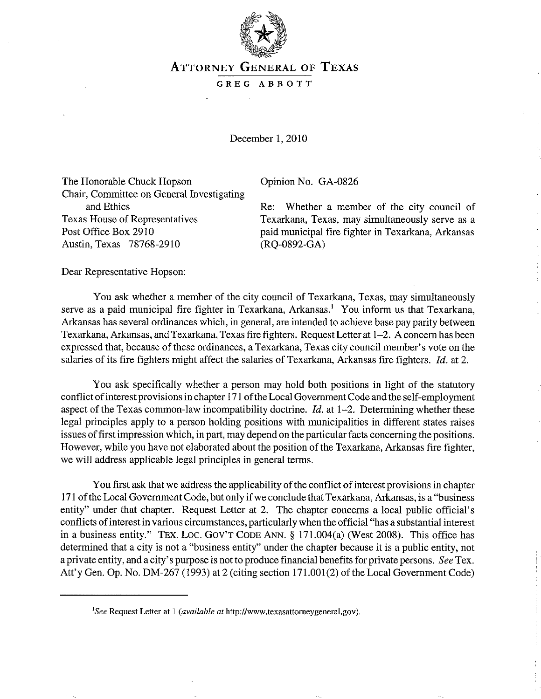

## ATTORNEY GENERAL OF TEXAS

## GREG ABBOTT

December 1, 2010

The Honorable Chuck Hopson Opinion No. GA-0826 Chair, Committee on General Investigating and Ethics Texas House of Representatives Post Office Box 2910 Austin, Texas 78768-2910

Re: Whether a member of the city council of Texarkana, Texas, may simultaneously serve as a paid municipal fire fighter in Texarkana, Arkansas (RQ-0892-GA)

Dear Representative Hopson:

You ask whether a member of the city council of Texarkana, Texas, may simultaneously serve as a paid municipal fire fighter in Texarkana, Arkansas.' You inform us that Texarkana, Arkansas has several ordinances which, in general, are intended to achieve base pay parity between Texarkana, Arkansas, and Texarkana, Texas fire fighters. Request Letter at 1-2. A concern has been expressed that, because of these ordinances, a Texarkana, Texas city council member's vote on the salaries of its fire fighters might affect the salaries of Texarkana, Arkansas fire fighters. *Id.* at 2.

You ask specifically whether a person may hold both positions in light of the statutory conflict of interest provisions in chapter 171 of the Local Government Code and the self-employment aspect of the Texas common-law incompatibility doctrine.  $Id$  at 1-2. Determining whether these legal principles apply to a person holding positions with municipalities in different states raises issues of first impression which, in part, may depend on the particular facts concerning the positions. However, while you have not elaborated about the position of the Texarkana, Arkansas fire fighter, we will address applicable legal principles in general terms.

You first ask that we address the applicability of the conflict of interest provisions in chapter 171 of the Local Government Code, but only if we conclude that Texarkana, Arkansas, is a "business entity" under that chapter. Request Letter at 2. The chapter concerns a local public official's conflicts of interest in various circumstances, particularly when the official "has a substantial interest in a business entity." TEX. Loc. GOV'T CODE ANN. § 171.004(a) (West 2008). This office has determined that a city is not a "business entity" under the chapter because it is a public entity, not a private entity, and a city's purpose is not to produce financial benefits for private persons. *See* Tex. Att'y Gen. Op. No. DM-267 (1993) at 2 (citing section 171.001(2) of the Local Government Code)

*ISee* Request Letter at 1 *(available at* http://www.texasattorneygeneral.gov).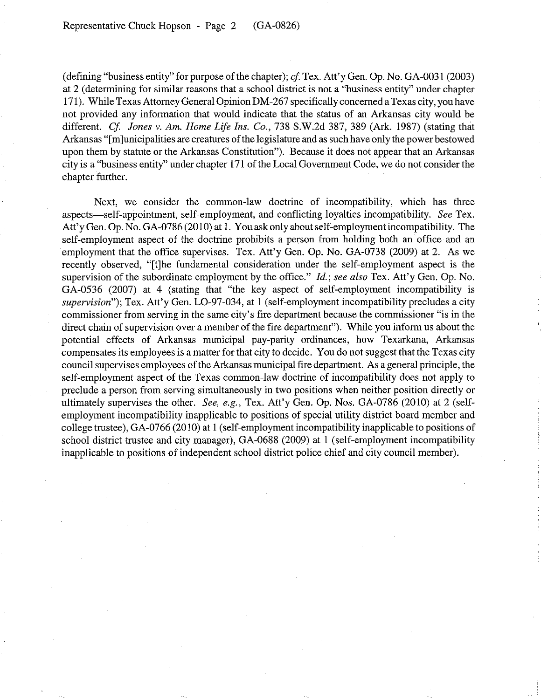(defining "business entity" for purpose of the chapter); *cf* Tex. All'y Gen. Op. No. GA-0031 (2003) at 2 (determining for similar reasons that a school district is not a "business entity" under chapter 171). While Texas Attorney General Opinion DM-267 specifically concerned a Texas city, you have not provided any information that would indicate that the status of an Arkansas city would be different. *Cf. Jones v. Am. Home Life Ins. Co.*, 738 S.W.2d 387, 389 (Ark. 1987) (stating that Arkansas "[m]unicipalities are creatures of the legislature and as such have only the power bestowed upon them by statute or the Arkansas Constitution"). Because it does not appear that an Arkansas city is a "business entity" under chapter 171 of the Local Government Code, we do not consider the chapter further.

Next, we consider the common-law doctrine of incompatibility, which has three aspects-self-appointment, self-employment, and conflicting loyalties incompatibility. *See* Tex. Att'y Gen. Op. No. GA-0786 (2010) at 1. You ask only about self-employment incompatibility. The self-employment aspect of the doctrine prohibits a person from holding both an office and an employment that the office supervises. Tex. Att'y Gen. Op. No. GA-0738 (2009) at 2. As we recently observed, "[t]he fundamental consideration under the self-employment aspect is the supervision of the subordinate employment by the office." *Id.; see also* Tex. All'y Gen. Op. No. GA-0536 (2007) at 4 (stating that "the key aspect of self-employment incompatibility is *supervision*"); Tex. Att'y Gen. LO-97-034, at 1 (self-employment incompatibility precludes a city commissioner from serving in the same city's fire department because the commissioner "is in the direct chain of supervision over a member of the fire department"). While you inform us about the potential effects of Arkansas municipal pay-parity ordinances, how Texarkana, Arkansas compensates its employees is a matter for that city to decide. You do not suggest that the Texas city council supervises employees of the Arkansas municipal fire department. As a general principle, the self-employment aspect of the Texas common-law doctrine of incompatibility does not apply to preclude a person from serving simultaneously in two positions when neither position directly or ultimately supervises the other. *See, e.g.,* Tex. Att'y Gen. Op. Nos. GA-0786 (2010) at 2 (selfemployment incompatibility inapplicable to positions of special utility district board member and college trustee), GA-0766 (2010) at 1 (self-employment incompatibility inapplicable to positions of school district trustee and city manager), GA-0688 (2009) at 1 (self-employment incompatibility inapplicable to positions of independent school district police chief and city council member).